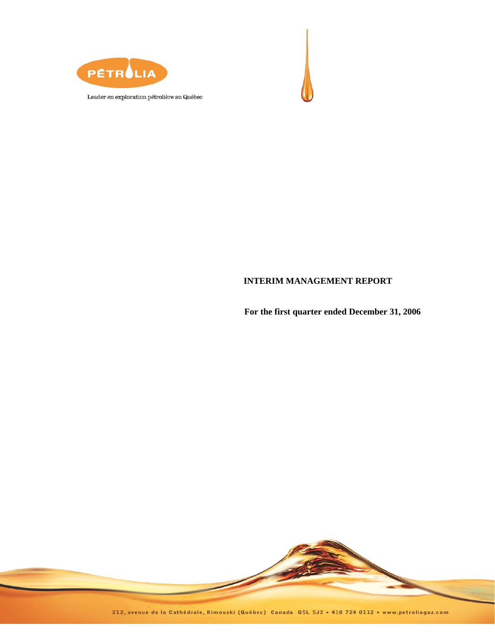



Leader en exploration pétrolière au Québec

# **INTERIM MANAGEMENT REPORT**

**For the first quarter ended December 31, 2006** 



212, avenue de la Cathédrale, Rimouski (Québec) Canada G5L 5J2 · 418 724 0112 · www.petroliagaz.com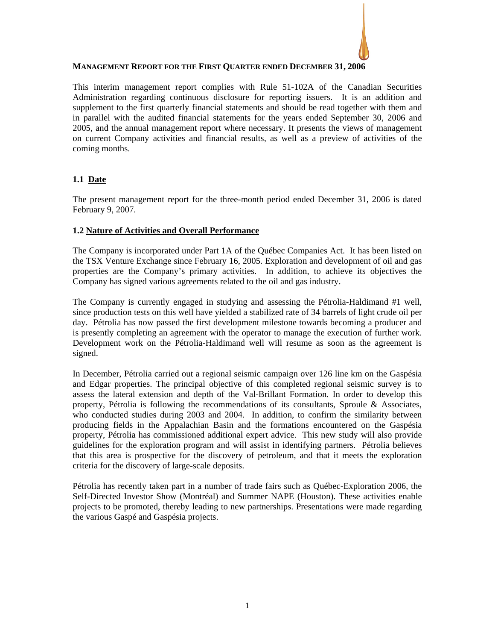

# **MANAGEMENT REPORT FOR THE FIRST QUARTER ENDED DECEMBER 31, 2006**

This interim management report complies with Rule 51-102A of the Canadian Securities Administration regarding continuous disclosure for reporting issuers. It is an addition and supplement to the first quarterly financial statements and should be read together with them and in parallel with the audited financial statements for the years ended September 30, 2006 and 2005, and the annual management report where necessary. It presents the views of management on current Company activities and financial results, as well as a preview of activities of the coming months.

# **1.1 Date**

The present management report for the three-month period ended December 31, 2006 is dated February 9, 2007.

## **1.2 Nature of Activities and Overall Performance**

The Company is incorporated under Part 1A of the Québec Companies Act. It has been listed on the TSX Venture Exchange since February 16, 2005. Exploration and development of oil and gas properties are the Company's primary activities. In addition, to achieve its objectives the Company has signed various agreements related to the oil and gas industry.

The Company is currently engaged in studying and assessing the Pétrolia-Haldimand #1 well, since production tests on this well have yielded a stabilized rate of 34 barrels of light crude oil per day. Pétrolia has now passed the first development milestone towards becoming a producer and is presently completing an agreement with the operator to manage the execution of further work. Development work on the Pétrolia-Haldimand well will resume as soon as the agreement is signed.

In December, Pétrolia carried out a regional seismic campaign over 126 line km on the Gaspésia and Edgar properties. The principal objective of this completed regional seismic survey is to assess the lateral extension and depth of the Val-Brillant Formation. In order to develop this property, Pétrolia is following the recommendations of its consultants, Sproule & Associates, who conducted studies during 2003 and 2004. In addition, to confirm the similarity between producing fields in the Appalachian Basin and the formations encountered on the Gaspésia property, Pétrolia has commissioned additional expert advice. This new study will also provide guidelines for the exploration program and will assist in identifying partners. Pétrolia believes that this area is prospective for the discovery of petroleum, and that it meets the exploration criteria for the discovery of large-scale deposits.

Pétrolia has recently taken part in a number of trade fairs such as Québec-Exploration 2006, the Self-Directed Investor Show (Montréal) and Summer NAPE (Houston). These activities enable projects to be promoted, thereby leading to new partnerships. Presentations were made regarding the various Gaspé and Gaspésia projects.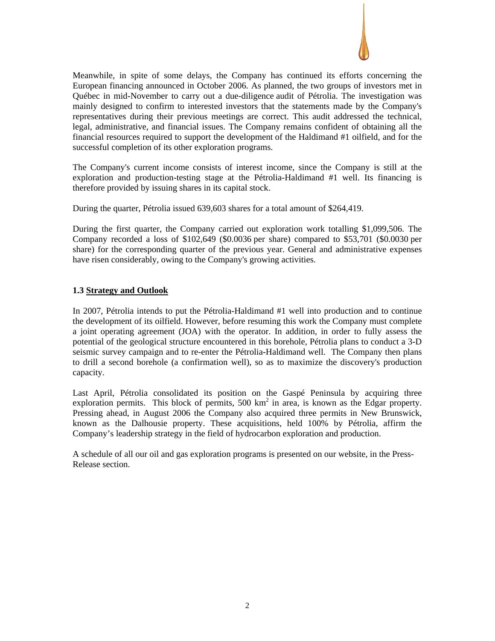

Meanwhile, in spite of some delays, the Company has continued its efforts concerning the European financing announced in October 2006. As planned, the two groups of investors met in Québec in mid-November to carry out a due-diligence audit of Pétrolia. The investigation was mainly designed to confirm to interested investors that the statements made by the Company's representatives during their previous meetings are correct. This audit addressed the technical, legal, administrative, and financial issues. The Company remains confident of obtaining all the financial resources required to support the development of the Haldimand #1 oilfield, and for the successful completion of its other exploration programs.

The Company's current income consists of interest income, since the Company is still at the exploration and production-testing stage at the Pétrolia-Haldimand #1 well. Its financing is therefore provided by issuing shares in its capital stock.

During the quarter, Pétrolia issued 639,603 shares for a total amount of \$264,419.

During the first quarter, the Company carried out exploration work totalling \$1,099,506. The Company recorded a loss of \$102,649 (\$0.0036 per share) compared to \$53,701 (\$0.0030 per share) for the corresponding quarter of the previous year. General and administrative expenses have risen considerably, owing to the Company's growing activities.

## **1.3 Strategy and Outlook**

In 2007, Pétrolia intends to put the Pétrolia-Haldimand #1 well into production and to continue the development of its oilfield. However, before resuming this work the Company must complete a joint operating agreement (JOA) with the operator. In addition, in order to fully assess the potential of the geological structure encountered in this borehole, Pétrolia plans to conduct a 3-D seismic survey campaign and to re-enter the Pétrolia-Haldimand well. The Company then plans to drill a second borehole (a confirmation well), so as to maximize the discovery's production capacity.

Last April, Pétrolia consolidated its position on the Gaspé Peninsula by acquiring three exploration permits. This block of permits,  $500 \text{ km}^2$  in area, is known as the Edgar property. Pressing ahead, in August 2006 the Company also acquired three permits in New Brunswick, known as the Dalhousie property. These acquisitions, held 100% by Pétrolia, affirm the Company's leadership strategy in the field of hydrocarbon exploration and production.

A schedule of all our oil and gas exploration programs is presented on our website, in the Press-Release section.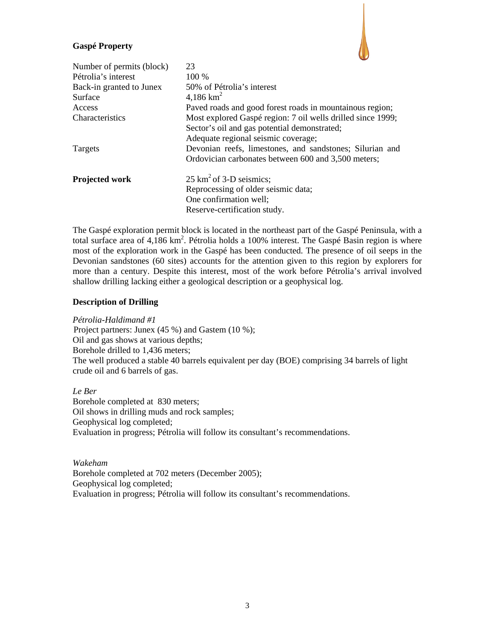## **Gaspé Property**



The Gaspé exploration permit block is located in the northeast part of the Gaspé Peninsula, with a total surface area of 4,186 km<sup>2</sup>. Pétrolia holds a 100% interest. The Gaspé Basin region is where most of the exploration work in the Gaspé has been conducted. The presence of oil seeps in the Devonian sandstones (60 sites) accounts for the attention given to this region by explorers for more than a century. Despite this interest, most of the work before Pétrolia's arrival involved shallow drilling lacking either a geological description or a geophysical log.

## **Description of Drilling**

*Pétrolia-Haldimand #1*  Project partners: Junex (45 %) and Gastem (10 %); Oil and gas shows at various depths; Borehole drilled to 1,436 meters; The well produced a stable 40 barrels equivalent per day (BOE) comprising 34 barrels of light crude oil and 6 barrels of gas.

*Le Ber*  Borehole completed at 830 meters; Oil shows in drilling muds and rock samples; Geophysical log completed; Evaluation in progress; Pétrolia will follow its consultant's recommendations.

*Wakeham*  Borehole completed at 702 meters (December 2005); Geophysical log completed; Evaluation in progress; Pétrolia will follow its consultant's recommendations.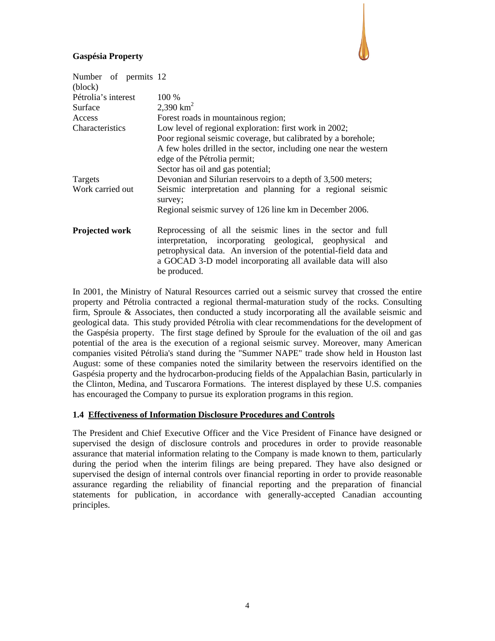# **Gaspésia Property**



| Number of permits 12<br>(block) |                                                                                                                                                                                                                                                                               |  |  |  |  |  |
|---------------------------------|-------------------------------------------------------------------------------------------------------------------------------------------------------------------------------------------------------------------------------------------------------------------------------|--|--|--|--|--|
| Pétrolia's interest             | 100 %                                                                                                                                                                                                                                                                         |  |  |  |  |  |
| Surface                         | 2,390 $km^2$                                                                                                                                                                                                                                                                  |  |  |  |  |  |
| Access                          | Forest roads in mountainous region;                                                                                                                                                                                                                                           |  |  |  |  |  |
| Characteristics                 | Low level of regional exploration: first work in 2002;                                                                                                                                                                                                                        |  |  |  |  |  |
|                                 | Poor regional seismic coverage, but calibrated by a borehole;                                                                                                                                                                                                                 |  |  |  |  |  |
|                                 | A few holes drilled in the sector, including one near the western                                                                                                                                                                                                             |  |  |  |  |  |
|                                 | edge of the Pétrolia permit;                                                                                                                                                                                                                                                  |  |  |  |  |  |
|                                 | Sector has oil and gas potential;                                                                                                                                                                                                                                             |  |  |  |  |  |
| Targets                         | Devonian and Silurian reservoirs to a depth of 3,500 meters;                                                                                                                                                                                                                  |  |  |  |  |  |
| Work carried out                | Seismic interpretation and planning for a regional seismic<br>survey;                                                                                                                                                                                                         |  |  |  |  |  |
|                                 | Regional seismic survey of 126 line km in December 2006.                                                                                                                                                                                                                      |  |  |  |  |  |
| Projected work                  | Reprocessing of all the seismic lines in the sector and full<br>interpretation, incorporating geological, geophysical and<br>petrophysical data. An inversion of the potential-field data and<br>a GOCAD 3-D model incorporating all available data will also<br>be produced. |  |  |  |  |  |

In 2001, the Ministry of Natural Resources carried out a seismic survey that crossed the entire property and Pétrolia contracted a regional thermal-maturation study of the rocks. Consulting firm, Sproule & Associates, then conducted a study incorporating all the available seismic and geological data. This study provided Pétrolia with clear recommendations for the development of the Gaspésia property. The first stage defined by Sproule for the evaluation of the oil and gas potential of the area is the execution of a regional seismic survey. Moreover, many American companies visited Pétrolia's stand during the "Summer NAPE" trade show held in Houston last August: some of these companies noted the similarity between the reservoirs identified on the Gaspésia property and the hydrocarbon-producing fields of the Appalachian Basin, particularly in the Clinton, Medina, and Tuscarora Formations. The interest displayed by these U.S. companies has encouraged the Company to pursue its exploration programs in this region.

## **1.4 Effectiveness of Information Disclosure Procedures and Controls**

The President and Chief Executive Officer and the Vice President of Finance have designed or supervised the design of disclosure controls and procedures in order to provide reasonable assurance that material information relating to the Company is made known to them, particularly during the period when the interim filings are being prepared. They have also designed or supervised the design of internal controls over financial reporting in order to provide reasonable assurance regarding the reliability of financial reporting and the preparation of financial statements for publication, in accordance with generally-accepted Canadian accounting principles.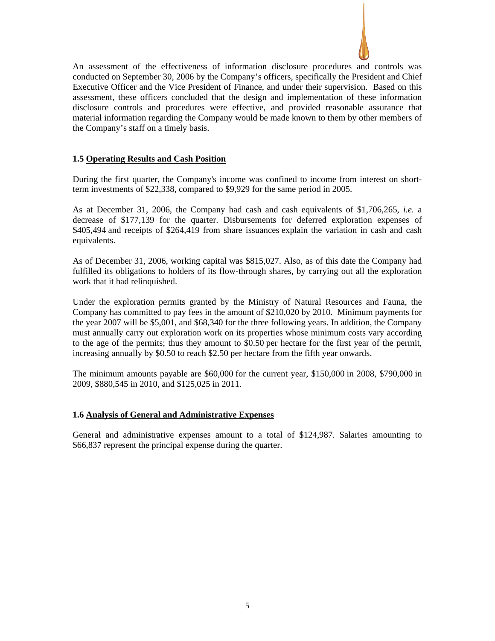

An assessment of the effectiveness of information disclosure procedures and controls was conducted on September 30, 2006 by the Company's officers, specifically the President and Chief Executive Officer and the Vice President of Finance, and under their supervision. Based on this assessment, these officers concluded that the design and implementation of these information disclosure controls and procedures were effective, and provided reasonable assurance that material information regarding the Company would be made known to them by other members of the Company's staff on a timely basis.

### **1.5 Operating Results and Cash Position**

During the first quarter, the Company's income was confined to income from interest on shortterm investments of \$22,338, compared to \$9,929 for the same period in 2005.

As at December 31, 2006, the Company had cash and cash equivalents of \$1,706,265, *i.e.* a decrease of \$177,139 for the quarter. Disbursements for deferred exploration expenses of \$405,494 and receipts of \$264,419 from share issuances explain the variation in cash and cash equivalents.

As of December 31, 2006, working capital was \$815,027. Also, as of this date the Company had fulfilled its obligations to holders of its flow-through shares, by carrying out all the exploration work that it had relinquished.

Under the exploration permits granted by the Ministry of Natural Resources and Fauna, the Company has committed to pay fees in the amount of \$210,020 by 2010. Minimum payments for the year 2007 will be \$5,001, and \$68,340 for the three following years. In addition, the Company must annually carry out exploration work on its properties whose minimum costs vary according to the age of the permits; thus they amount to \$0.50 per hectare for the first year of the permit, increasing annually by \$0.50 to reach \$2.50 per hectare from the fifth year onwards.

The minimum amounts payable are \$60,000 for the current year, \$150,000 in 2008, \$790,000 in 2009, \$880,545 in 2010, and \$125,025 in 2011.

#### **1.6 Analysis of General and Administrative Expenses**

General and administrative expenses amount to a total of \$124,987. Salaries amounting to \$66,837 represent the principal expense during the quarter.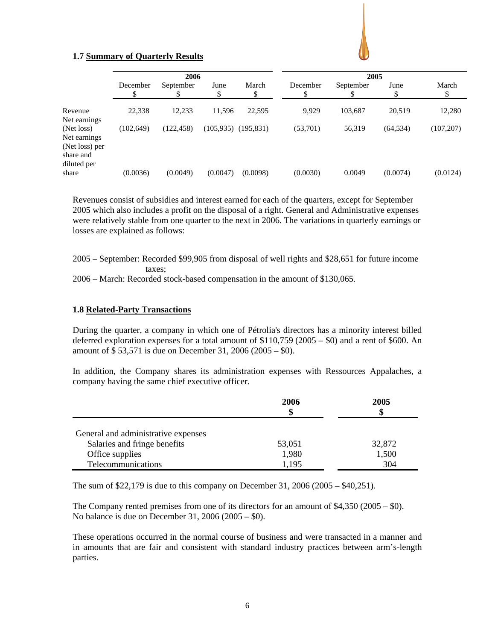

# **1.7 Summary of Quarterly Results**

|                                                              | 2006      |            |          |                         | 2005     |           |            |             |
|--------------------------------------------------------------|-----------|------------|----------|-------------------------|----------|-----------|------------|-------------|
|                                                              | December  | September  | June     | March<br>\$             | December | September | June<br>\$ | March<br>\$ |
| Revenue                                                      | 22,338    | 12,233     | 11,596   | 22,595                  | 9,929    | 103,687   | 20,519     | 12,280      |
| Net earnings<br>(Net loss)<br>Net earnings<br>(Net loss) per | (102.649) | (122, 458) |          | $(105,935)$ $(195,831)$ | (53,701) | 56,319    | (64, 534)  | (107, 207)  |
| share and<br>diluted per<br>share                            | (0.0036)  | (0.0049)   | (0.0047) | (0.0098)                | (0.0030) | 0.0049    | (0.0074)   | (0.0124)    |

Revenues consist of subsidies and interest earned for each of the quarters, except for September 2005 which also includes a profit on the disposal of a right. General and Administrative expenses were relatively stable from one quarter to the next in 2006. The variations in quarterly earnings or losses are explained as follows:

- 2005 September: Recorded \$99,905 from disposal of well rights and \$28,651 for future income taxes;
- 2006 March: Recorded stock-based compensation in the amount of \$130,065.

# **1.8 Related-Party Transactions**

During the quarter, a company in which one of Pétrolia's directors has a minority interest billed deferred exploration expenses for a total amount of \$110,759 (2005 – \$0) and a rent of \$600. An amount of \$ 53,571 is due on December 31, 2006 (2005 – \$0).

In addition, the Company shares its administration expenses with Ressources Appalaches, a company having the same chief executive officer.

|                                     | 2006   | 2005<br>S |
|-------------------------------------|--------|-----------|
| General and administrative expenses |        |           |
| Salaries and fringe benefits        | 53,051 | 32,872    |
| Office supplies                     | 1,980  | 1,500     |
| Telecommunications                  | 1,195  | 304       |

The sum of \$22,179 is due to this company on December 31, 2006 (2005 – \$40,251).

The Company rented premises from one of its directors for an amount of  $$4,350$  (2005 – \$0). No balance is due on December 31, 2006 (2005 – \$0).

These operations occurred in the normal course of business and were transacted in a manner and in amounts that are fair and consistent with standard industry practices between arm's-length parties.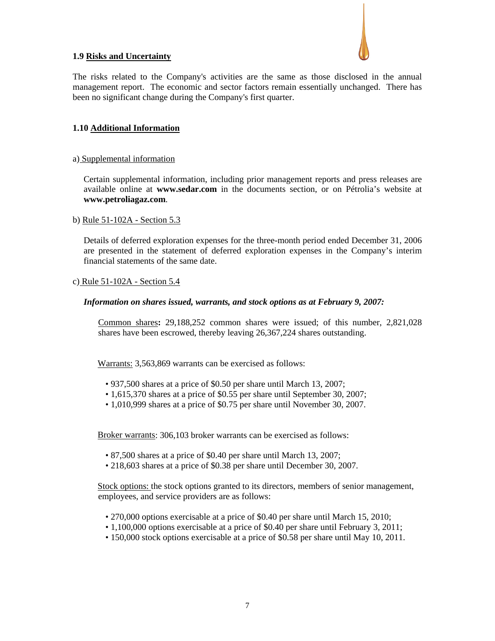

# **1.9 Risks and Uncertainty**

The risks related to the Company's activities are the same as those disclosed in the annual management report. The economic and sector factors remain essentially unchanged. There has been no significant change during the Company's first quarter.

# **1.10 Additional Information**

## a) Supplemental information

Certain supplemental information, including prior management reports and press releases are available online at **www.sedar.com** in the documents section, or on Pétrolia's website at **www.petroliagaz.com**.

## b) Rule 51-102A - Section 5.3

Details of deferred exploration expenses for the three-month period ended December 31, 2006 are presented in the statement of deferred exploration expenses in the Company's interim financial statements of the same date.

## c) Rule 51-102A - Section 5.4

## *Information on shares issued, warrants, and stock options as at February 9, 2007:*

Common shares**:** 29,188,252 common shares were issued; of this number, 2,821,028 shares have been escrowed, thereby leaving 26,367,224 shares outstanding.

Warrants: 3,563,869 warrants can be exercised as follows:

- 937,500 shares at a price of \$0.50 per share until March 13, 2007;
- 1,615,370 shares at a price of \$0.55 per share until September 30, 2007;
- 1,010,999 shares at a price of \$0.75 per share until November 30, 2007.

Broker warrants: 306,103 broker warrants can be exercised as follows:

- 87,500 shares at a price of \$0.40 per share until March 13, 2007;
- 218,603 shares at a price of \$0.38 per share until December 30, 2007.

Stock options: the stock options granted to its directors, members of senior management, employees, and service providers are as follows:

- 270,000 options exercisable at a price of \$0.40 per share until March 15, 2010;
- 1,100,000 options exercisable at a price of \$0.40 per share until February 3, 2011;
- 150,000 stock options exercisable at a price of \$0.58 per share until May 10, 2011.